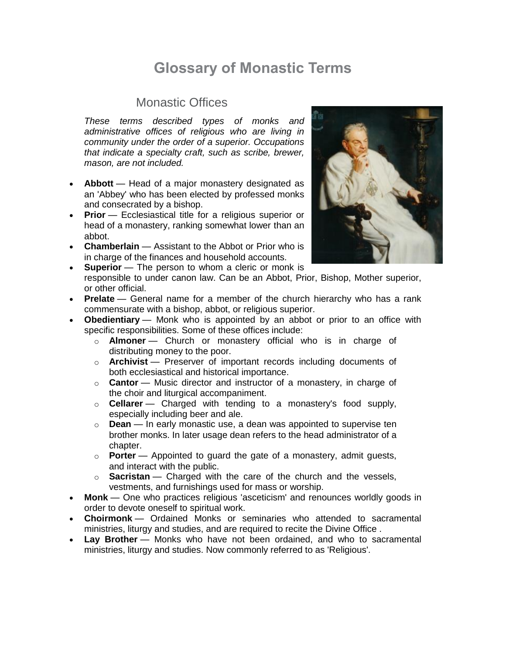# **Glossary of Monastic Terms**

#### Monastic Offices

*These terms described types of monks and administrative offices of religious who are living in community under the order of a superior. Occupations that indicate a specialty craft, such as scribe, brewer, mason, are not included.*

- **Abbott** Head of a major monastery designated as an 'Abbey' who has been elected by professed monks and consecrated by a bishop.
- **Prior** Ecclesiastical title for a religious superior or head of a monastery, ranking somewhat lower than an abbot.
- **Chamberlain** Assistant to the Abbot or Prior who is in charge of the finances and household accounts.



- **Prelate** General name for a member of the church hierarchy who has a rank commensurate with a bishop, abbot, or religious superior.
- **Obedientiary** Monk who is appointed by an abbot or prior to an office with specific responsibilities. Some of these offices include:
	- o **Almoner** Church or monastery official who is in charge of distributing money to the poor.
	- o **Archivist** Preserver of important records including documents of both ecclesiastical and historical importance.
	- o **Cantor** Music director and instructor of a monastery, in charge of the choir and liturgical accompaniment.
	- o **Cellarer** Charged with tending to a monastery's food supply, especially including beer and ale.
	- o **Dean** In early monastic use, a dean was appointed to supervise ten brother monks. In later usage dean refers to the head administrator of a chapter.
	- o **Porter** Appointed to guard the gate of a monastery, admit guests, and interact with the public.
	- o **Sacristan** Charged with the care of the church and the vessels, vestments, and furnishings used for mass or worship.
- **Monk** One who practices religious 'asceticism' and renounces worldly goods in order to devote oneself to spiritual work.
- **Choirmonk** Ordained Monks or seminaries who attended to sacramental ministries, liturgy and studies, and are required to recite the Divine Office .
- **Lay Brother** Monks who have not been ordained, and who to sacramental ministries, liturgy and studies. Now commonly referred to as 'Religious'.

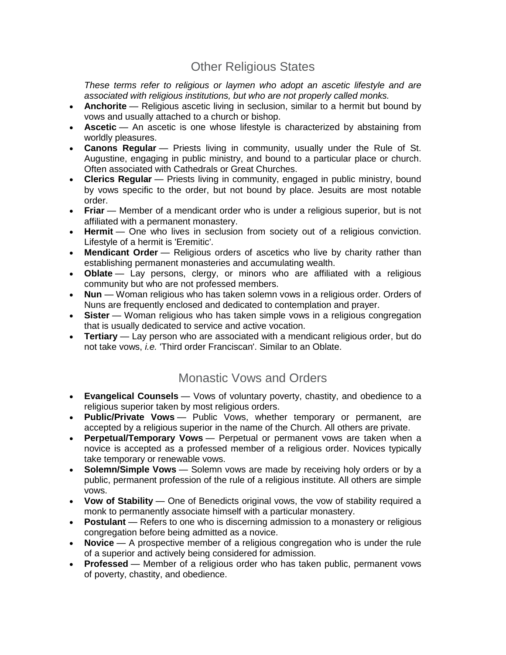## Other Religious States

*These terms refer to religious or laymen who adopt an ascetic lifestyle and are associated with religious institutions, but who are not properly called monks.*

- **Anchorite** Religious ascetic living in seclusion, similar to a hermit but bound by vows and usually attached to a church or bishop.
- **Ascetic** An ascetic is one whose lifestyle is characterized by abstaining from worldly pleasures.
- **Canons Regular** Priests living in community, usually under the Rule of St. Augustine, engaging in public ministry, and bound to a particular place or church. Often associated with Cathedrals or Great Churches.
- **Clerics Regular** Priests living in community, engaged in public ministry, bound by vows specific to the order, but not bound by place. Jesuits are most notable order.
- **Friar** Member of a mendicant order who is under a religious superior, but is not affiliated with a permanent monastery.
- **Hermit** One who lives in seclusion from society out of a religious conviction. Lifestyle of a hermit is 'Eremitic'.
- **Mendicant Order** Religious orders of ascetics who live by charity rather than establishing permanent monasteries and accumulating wealth.
- **Oblate** Lay persons, clergy, or minors who are affiliated with a religious community but who are not professed members.
- **Nun** Woman religious who has taken solemn vows in a religious order. Orders of Nuns are frequently enclosed and dedicated to contemplation and prayer.
- **Sister** Woman religious who has taken simple vows in a religious congregation that is usually dedicated to service and active vocation.
- **Tertiary** Lay person who are associated with a mendicant religious order, but do not take vows, *i.e.* 'Third order Franciscan'. Similar to an Oblate.

#### Monastic Vows and Orders

- **Evangelical Counsels** Vows of voluntary poverty, chastity, and obedience to a religious superior taken by most religious orders.
- **Public/Private Vows** Public Vows, whether temporary or permanent, are accepted by a religious superior in the name of the Church. All others are private.
- **Perpetual/Temporary Vows** Perpetual or permanent vows are taken when a novice is accepted as a professed member of a religious order. Novices typically take temporary or renewable vows.
- **Solemn/Simple Vows** Solemn vows are made by receiving holy orders or by a public, permanent profession of the rule of a religious institute. All others are simple vows.
- **Vow of Stability** One of Benedicts original vows, the vow of stability required a monk to permanently associate himself with a particular monastery.
- **Postulant** Refers to one who is discerning admission to a monastery or religious congregation before being admitted as a novice.
- **Novice** A prospective member of a religious congregation who is under the rule of a superior and actively being considered for admission.
- **Professed** Member of a religious order who has taken public, permanent vows of poverty, chastity, and obedience.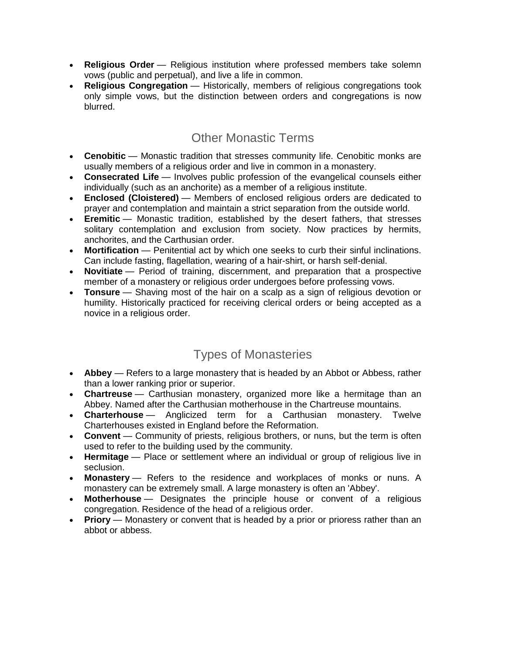- **Religious Order** Religious institution where professed members take solemn vows (public and perpetual), and live a life in common.
- **Religious Congregation** Historically, members of religious congregations took only simple vows, but the distinction between orders and congregations is now blurred.

## Other Monastic Terms

- **Cenobitic** Monastic tradition that stresses community life. Cenobitic monks are usually members of a religious order and live in common in a monastery.
- **Consecrated Life** Involves public profession of the evangelical counsels either individually (such as an anchorite) as a member of a religious institute.
- **Enclosed (Cloistered)** Members of enclosed religious orders are dedicated to prayer and contemplation and maintain a strict separation from the outside world.
- **Eremitic** Monastic tradition, established by the desert fathers, that stresses solitary contemplation and exclusion from society. Now practices by hermits, anchorites, and the Carthusian order.
- **Mortification** Penitential act by which one seeks to curb their sinful inclinations. Can include fasting, flagellation, wearing of a hair-shirt, or harsh self-denial.
- **Novitiate** Period of training, discernment, and preparation that a prospective member of a monastery or religious order undergoes before professing vows.
- **Tonsure** Shaving most of the hair on a scalp as a sign of religious devotion or humility. Historically practiced for receiving clerical orders or being accepted as a novice in a religious order.

## Types of Monasteries

- **Abbey** Refers to a large monastery that is headed by an Abbot or Abbess, rather than a lower ranking prior or superior.
- **Chartreuse** Carthusian monastery, organized more like a hermitage than an Abbey. Named after the Carthusian motherhouse in the Chartreuse mountains.
- **Charterhouse** Anglicized term for a Carthusian monastery. Twelve Charterhouses existed in England before the Reformation.
- **Convent** Community of priests, religious brothers, or nuns, but the term is often used to refer to the building used by the community.
- **Hermitage** Place or settlement where an individual or group of religious live in seclusion.
- **Monastery** Refers to the residence and workplaces of monks or nuns. A monastery can be extremely small. A large monastery is often an 'Abbey'.
- **Motherhouse** Designates the principle house or convent of a religious congregation. Residence of the head of a religious order.
- **Priory** Monastery or convent that is headed by a prior or prioress rather than an abbot or abbess.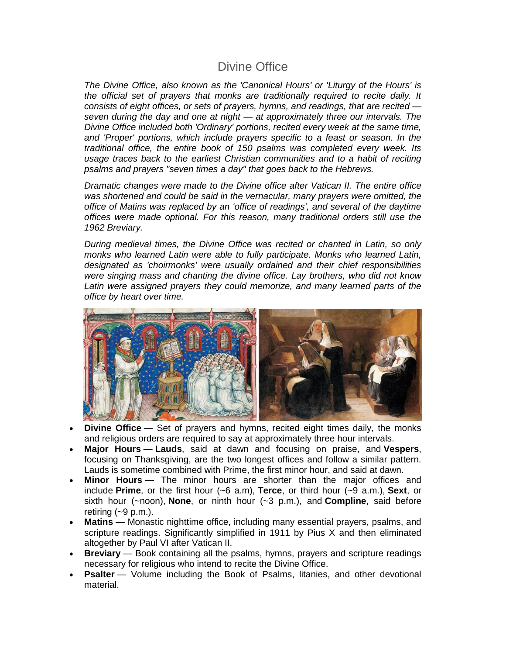#### Divine Office

*The Divine Office, also known as the 'Canonical Hours' or 'Liturgy of the Hours' is the official set of prayers that monks are traditionally required to recite daily. It consists of eight offices, or sets of prayers, hymns, and readings, that are recited seven during the day and one at night — at approximately three our intervals. The Divine Office included both 'Ordinary' portions, recited every week at the same time, and 'Proper' portions, which include prayers specific to a feast or season. In the traditional office, the entire book of 150 psalms was completed every week. Its usage traces back to the earliest Christian communities and to a habit of reciting psalms and prayers "seven times a day" that goes back to the Hebrews.*

*Dramatic changes were made to the Divine office after Vatican II. The entire office was shortened and could be said in the vernacular, many prayers were omitted, the office of Matins was replaced by an 'office of readings', and several of the daytime offices were made optional. For this reason, many traditional orders still use the 1962 Breviary.*

*During medieval times, the Divine Office was recited or chanted in Latin, so only monks who learned Latin were able to fully participate. Monks who learned Latin, designated as 'choirmonks' were usually ordained and their chief responsibilities were singing mass and chanting the divine office. Lay brothers, who did not know*  Latin were assigned prayers they could memorize, and many learned parts of the *office by heart over time.*



- **Divine Office** Set of prayers and hymns, recited eight times daily, the monks and religious orders are required to say at approximately three hour intervals.
- **Major Hours Lauds**, said at dawn and focusing on praise, and **Vespers**, focusing on Thanksgiving, are the two longest offices and follow a similar pattern. Lauds is sometime combined with Prime, the first minor hour, and said at dawn.
- **Minor Hours** The minor hours are shorter than the major offices and include **Prime**, or the first hour (~6 a.m), **Terce**, or third hour (~9 a.m.), **Sext**, or sixth hour (~noon), **None**, or ninth hour (~3 p.m.), and **Compline**, said before retiring  $(-9 \text{ p.m.})$ .
- **Matins** Monastic nighttime office, including many essential prayers, psalms, and scripture readings. Significantly simplified in 1911 by Pius X and then eliminated altogether by Paul VI after Vatican II.
- **Breviary** Book containing all the psalms, hymns, prayers and scripture readings necessary for religious who intend to recite the Divine Office.
- **Psalter** Volume including the Book of Psalms, litanies, and other devotional material.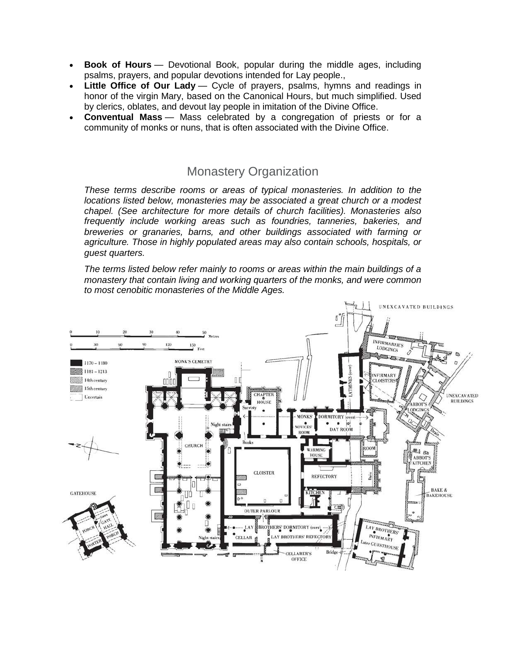- **Book of Hours** Devotional Book, popular during the middle ages, including psalms, prayers, and popular devotions intended for Lay people.,
- Little Office of Our Lady Cycle of prayers, psalms, hymns and readings in honor of the virgin Mary, based on the Canonical Hours, but much simplified. Used by clerics, oblates, and devout lay people in imitation of the Divine Office.
- **Conventual Mass** Mass celebrated by a congregation of priests or for a community of monks or nuns, that is often associated with the Divine Office.

## Monastery Organization

*These terms describe rooms or areas of typical monasteries. In addition to the locations listed below, monasteries may be associated a great church or a modest chapel. (See architecture for more details of church facilities). Monasteries also frequently include working areas such as foundries, tanneries, bakeries, and breweries or granaries, barns, and other buildings associated with farming or agriculture. Those in highly populated areas may also contain schools, hospitals, or guest quarters.*

*The terms listed below refer mainly to rooms or areas within the main buildings of a monastery that contain living and working quarters of the monks, and were common to most cenobitic monasteries of the Middle Ages.*